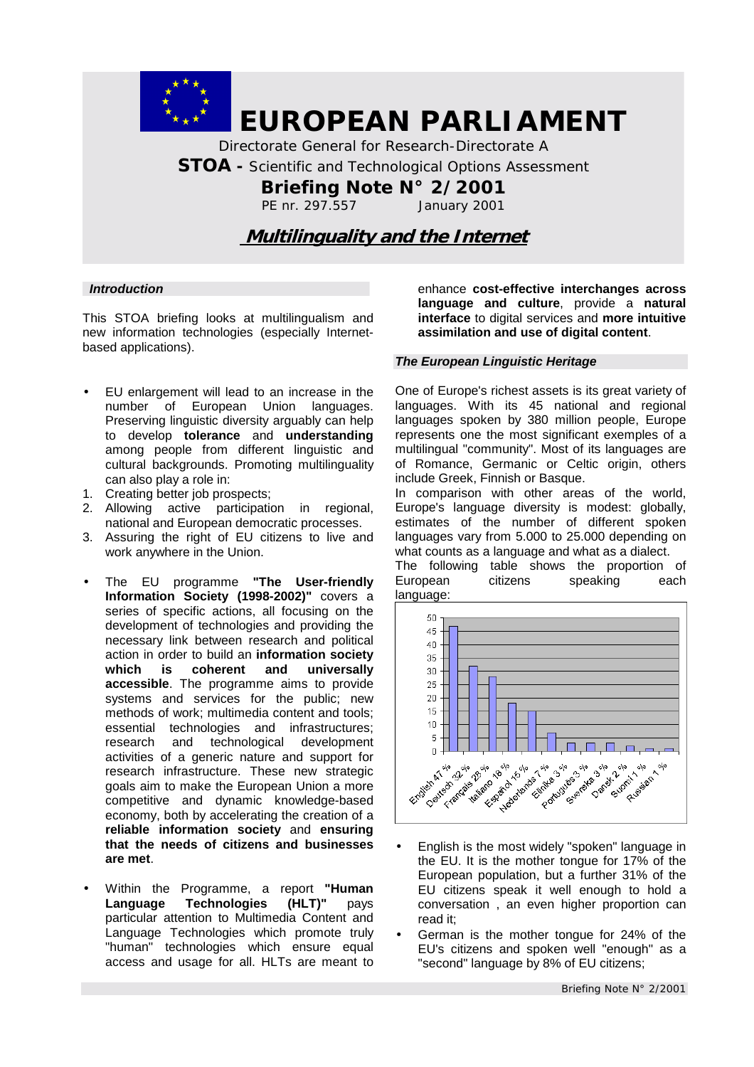

 *EUROPEAN PARLIAMENT*

*Directorate General for Research-Directorate A STOA - Scientific and Technological Options Assessment Briefing Note N° 2/2001 PE nr. 297.557 January 2001* 

 **Multilinguality and the Internet**

### *Introduction*

This STOA briefing looks at multilingualism and new information technologies (especially Internetbased applications).

- EU enlargement will lead to an increase in the number of European Union languages. Preserving linguistic diversity arguably can help to develop **tolerance** and **understanding** among people from different linguistic and cultural backgrounds. Promoting multilinguality can also play a role in:
- 1. Creating better job prospects;
- 2. Allowing active participation in regional, national and European democratic processes.
- 3. Assuring the right of EU citizens to live and work anywhere in the Union.
- The EU programme **"The User-friendly Information Society (1998-2002)"** covers a series of specific actions, all focusing on the development of technologies and providing the necessary link between research and political action in order to build an **information society which is coherent and universally accessible**. The programme aims to provide systems and services for the public; new methods of work; multimedia content and tools; essential technologies and infrastructures; research and technological development activities of a generic nature and support for research infrastructure. These new strategic goals aim to make the European Union a more competitive and dynamic knowledge-based economy, both by accelerating the creation of a **reliable information society** and **ensuring that the needs of citizens and businesses are met**.
- Within the Programme, a report **"Human Language Technologies (HLT)"** pays particular attention to Multimedia Content and Language Technologies which promote truly "human" technologies which ensure equal access and usage for all. HLTs are meant to

enhance **cost-effective interchanges across language and culture**, provide a **natural interface** to digital services and **more intuitive assimilation and use of digital content**.

#### *The European Linguistic Heritage*

One of Europe's richest assets is its great variety of languages. With its 45 national and regional languages spoken by 380 million people, Europe represents one the most significant exemples of a multilingual "community". Most of its languages are of Romance, Germanic or Celtic origin, others include Greek, Finnish or Basque.

In comparison with other areas of the world, Europe's language diversity is modest: globally, estimates of the number of different spoken languages vary from 5.000 to 25.000 depending on what counts as a language and what as a dialect.

The following table shows the proportion of European citizens speaking each language:



- English is the most widely "spoken" language in the EU. It is the mother tongue for 17% of the European population, but a further 31% of the EU citizens speak it well enough to hold a conversation , an even higher proportion can read it;
- German is the mother tongue for 24% of the EU's citizens and spoken well "enough" as a "second" language by 8% of EU citizens;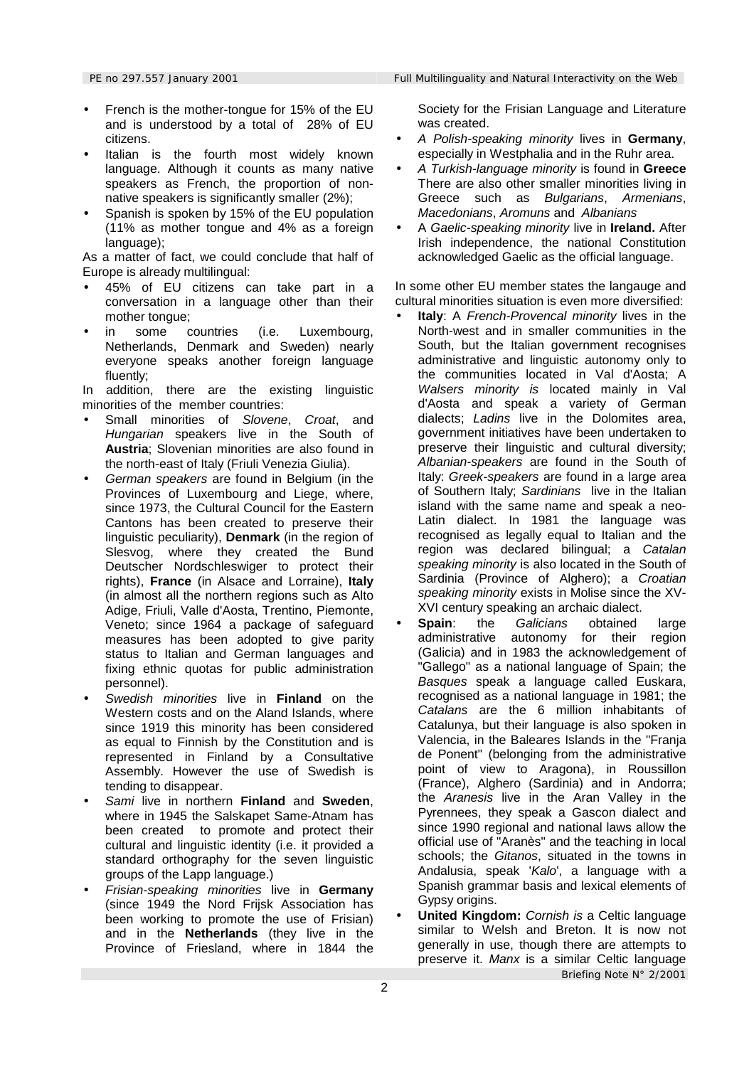- French is the mother-tongue for 15% of the EU and is understood by a total of 28% of EU citizens.
- Italian is the fourth most widely known language. Although it counts as many native speakers as French, the proportion of nonnative speakers is significantly smaller (2%);
- Spanish is spoken by 15% of the EU population (11% as mother tongue and 4% as a foreign language);

As a matter of fact, we could conclude that half of Europe is already multilingual:

- 45% of EU citizens can take part in a conversation in a language other than their mother tongue;
- in some countries (i.e. Luxembourg, Netherlands, Denmark and Sweden) nearly everyone speaks another foreign language fluently;

In addition, there are the existing linguistic minorities of the member countries:

- Small minorities of *Slovene*, *Croat*, and *Hungarian* speakers live in the South of **Austria**; Slovenian minorities are also found in the north-east of Italy (Friuli Venezia Giulia).
- *German speakers* are found in Belgium (in the Provinces of Luxembourg and Liege, where, since 1973, the Cultural Council for the Eastern Cantons has been created to preserve their linguistic peculiarity), **Denmark** (in the region of Slesvog, where they created the Bund Deutscher Nordschleswiger to protect their rights), **France** (in Alsace and Lorraine), **Italy**  (in almost all the northern regions such as Alto Adige, Friuli, Valle d'Aosta, Trentino, Piemonte, Veneto; since 1964 a package of safeguard measures has been adopted to give parity status to Italian and German languages and fixing ethnic quotas for public administration personnel).
- *Swedish minorities* live in **Finland** on the Western costs and on the Aland Islands, where since 1919 this minority has been considered as equal to Finnish by the Constitution and is represented in Finland by a Consultative Assembly. However the use of Swedish is tending to disappear.
- *Sami* live in northern **Finland** and **Sweden**, where in 1945 the Salskapet Same-Atnam has been created to promote and protect their cultural and linguistic identity (i.e. it provided a standard orthography for the seven linguistic groups of the Lapp language.)
- *Frisian-speaking minorities* live in **Germany** (since 1949 the Nord Frijsk Association has been working to promote the use of Frisian) and in the **Netherlands** (they live in the Province of Friesland, where in 1844 the

Society for the Frisian Language and Literature was created.

- *A Polish-speaking minority* lives in **Germany**, especially in Westphalia and in the Ruhr area.
- *A Turkish-language minority* is found in **Greece** There are also other smaller minorities living in Greece such as *Bulgarians*, *Armenians*, *Macedonians*, *Aromuns* and *Albanians*
- A *Gaelic-speaking minority* live in **Ireland.** After Irish independence, the national Constitution acknowledged Gaelic as the official language.

In some other EU member states the langauge and cultural minorities situation is even more diversified:

- **Italy**: A *French-Provencal minority* lives in the North-west and in smaller communities in the South, but the Italian government recognises administrative and linguistic autonomy only to the communities located in Val d'Aosta; A *Walsers minority is* located mainly in Val d'Aosta and speak a variety of German dialects; *Ladins* live in the Dolomites area, government initiatives have been undertaken to preserve their linguistic and cultural diversity; *Albanian-speakers* are found in the South of Italy: *Greek-speakers* are found in a large area of Southern Italy; *Sardinians* live in the Italian island with the same name and speak a neo-Latin dialect. In 1981 the language was recognised as legally equal to Italian and the region was declared bilingual; a *Catalan speaking minority* is also located in the South of Sardinia (Province of Alghero); a *Croatian speaking minority* exists in Molise since the XV-XVI century speaking an archaic dialect.
- **Spain**: the *Galicians* obtained large administrative autonomy for their region (Galicia) and in 1983 the acknowledgement of "Gallego" as a national language of Spain; the *Basques* speak a language called Euskara, recognised as a national language in 1981; the *Catalans* are the 6 million inhabitants of Catalunya, but their language is also spoken in Valencia, in the Baleares Islands in the "Franja de Ponent" (belonging from the administrative point of view to Aragona), in Roussillon (France), Alghero (Sardinia) and in Andorra; the *Aranesis* live in the Aran Valley in the Pyrennees, they speak a Gascon dialect and since 1990 regional and national laws allow the official use of "Aranès" and the teaching in local schools; the *Gitanos*, situated in the towns in Andalusia, speak '*Kalo*', a language with a Spanish grammar basis and lexical elements of Gypsy origins.
- *Briefing Note N° 2/2001* • **United Kingdom:** *Cornish is* a Celtic language similar to Welsh and Breton. It is now not generally in use, though there are attempts to preserve it. *Manx* is a similar Celtic language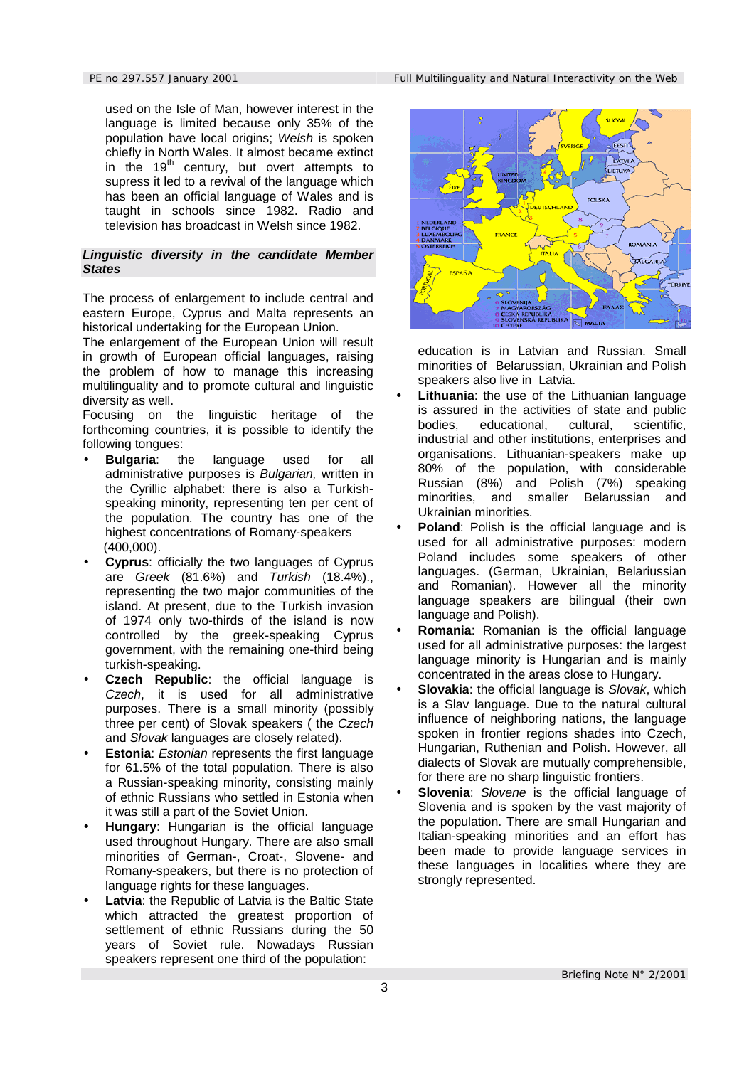used on the Isle of Man, however interest in the language is limited because only 35% of the population have local origins; *Welsh* is spoken chiefly in North Wales. It almost became extinct in the  $19<sup>th</sup>$  century, but overt attempts to supress it led to a revival of the language which has been an official language of Wales and is taught in schools since 1982. Radio and television has broadcast in Welsh since 1982.

#### *Linguistic diversity in the candidate Member States*

The process of enlargement to include central and eastern Europe, Cyprus and Malta represents an historical undertaking for the European Union.

The enlargement of the European Union will result in growth of European official languages, raising the problem of how to manage this increasing multilinguality and to promote cultural and linguistic diversity as well.

Focusing on the linguistic heritage of the forthcoming countries, it is possible to identify the following tongues:

- **Bulgaria**: the language used for all administrative purposes is *Bulgarian,* written in the Cyrillic alphabet: there is also a Turkishspeaking minority, representing ten per cent of the population. The country has one of the highest concentrations of Romany-speakers (400,000).
- **Cyprus**: officially the two languages of Cyprus are *Greek* (81.6%) and *Turkish* (18.4%)., representing the two major communities of the island. At present, due to the Turkish invasion of 1974 only two-thirds of the island is now controlled by the greek-speaking Cyprus government, with the remaining one-third being turkish-speaking.
- **Czech Republic:** the official language is *Czech*, it is used for all administrative purposes. There is a small minority (possibly three per cent) of Slovak speakers ( the *Czech* and *Slovak* languages are closely related).
- **Estonia**: *Estonian* represents the first language for 61.5% of the total population. There is also a Russian-speaking minority, consisting mainly of ethnic Russians who settled in Estonia when it was still a part of the Soviet Union.
- **Hungary**: Hungarian is the official language used throughout Hungary. There are also small minorities of German-, Croat-, Slovene- and Romany-speakers, but there is no protection of language rights for these languages.
- **Latvia:** the Republic of Latvia is the Baltic State which attracted the greatest proportion of settlement of ethnic Russians during the 50 years of Soviet rule. Nowadays Russian speakers represent one third of the population:



education is in Latvian and Russian. Small minorities of Belarussian, Ukrainian and Polish speakers also live in Latvia.

- **Lithuania**: the use of the Lithuanian language is assured in the activities of state and public bodies, educational, cultural, scientific, industrial and other institutions, enterprises and organisations. Lithuanian-speakers make up 80% of the population, with considerable Russian (8%) and Polish (7%) speaking minorities, and smaller Belarussian and Ukrainian minorities.
- **Poland:** Polish is the official language and is used for all administrative purposes: modern Poland includes some speakers of other languages. (German, Ukrainian, Belariussian and Romanian). However all the minority language speakers are bilingual (their own language and Polish).
- **Romania**: Romanian is the official language used for all administrative purposes: the largest language minority is Hungarian and is mainly concentrated in the areas close to Hungary.
- **Slovakia**: the official language is *Slovak*, which is a Slav language. Due to the natural cultural influence of neighboring nations, the language spoken in frontier regions shades into Czech, Hungarian, Ruthenian and Polish. However, all dialects of Slovak are mutually comprehensible, for there are no sharp linguistic frontiers.
- **Slovenia**: *Slovene* is the official language of Slovenia and is spoken by the vast majority of the population. There are small Hungarian and Italian-speaking minorities and an effort has been made to provide language services in these languages in localities where they are strongly represented.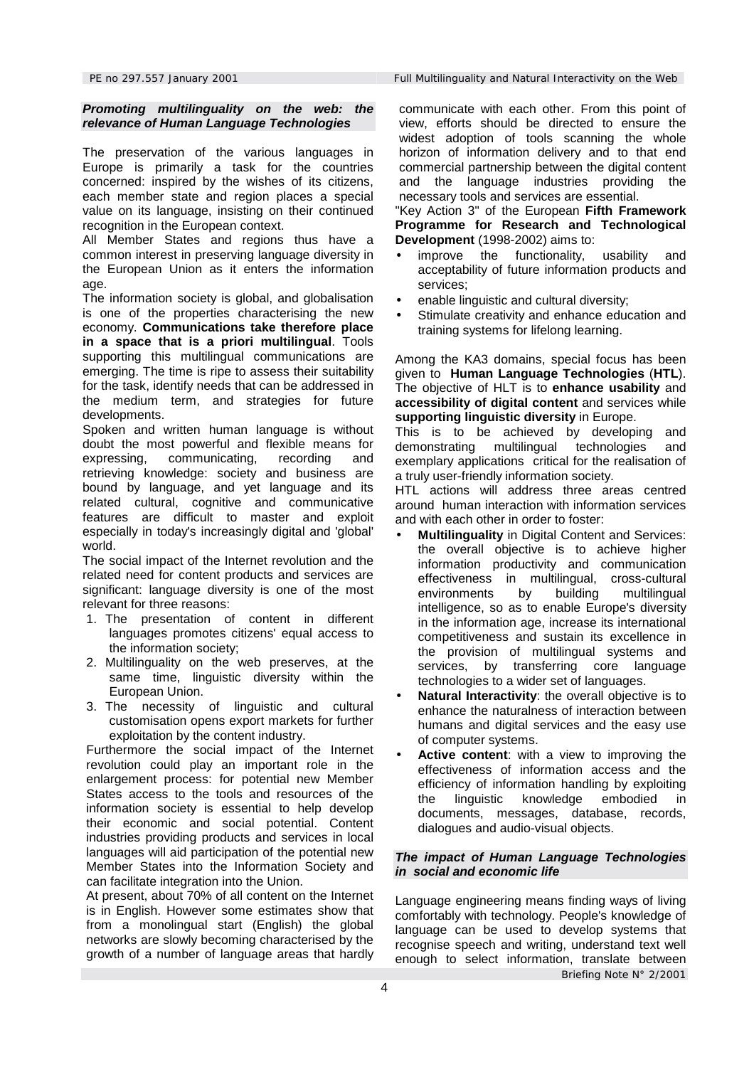### *Promoting multilinguality on the web: the relevance of Human Language Technologies*

The preservation of the various languages in Europe is primarily a task for the countries concerned: inspired by the wishes of its citizens, each member state and region places a special value on its language, insisting on their continued recognition in the European context.

All Member States and regions thus have a common interest in preserving language diversity in the European Union as it enters the information age.

The information society is global, and globalisation is one of the properties characterising the new economy. **Communications take therefore place in a space that is a priori multilingual**. Tools supporting this multilingual communications are emerging. The time is ripe to assess their suitability for the task, identify needs that can be addressed in the medium term, and strategies for future developments.

Spoken and written human language is without doubt the most powerful and flexible means for expressing, communicating, recording and retrieving knowledge: society and business are bound by language, and yet language and its related cultural, cognitive and communicative features are difficult to master and exploit especially in today's increasingly digital and 'global' world.

The social impact of the Internet revolution and the related need for content products and services are significant: language diversity is one of the most relevant for three reasons:

- 1. The presentation of content in different languages promotes citizens' equal access to the information society;
- 2. Multilinguality on the web preserves, at the same time, linguistic diversity within the European Union.
- 3. The necessity of linguistic and cultural customisation opens export markets for further exploitation by the content industry.

Furthermore the social impact of the Internet revolution could play an important role in the enlargement process: for potential new Member States access to the tools and resources of the information society is essential to help develop their economic and social potential. Content industries providing products and services in local languages will aid participation of the potential new Member States into the Information Society and can facilitate integration into the Union.

At present, about 70% of all content on the Internet is in English. However some estimates show that from a monolingual start (English) the global networks are slowly becoming characterised by the growth of a number of language areas that hardly

*PE no 297.557 January 2001 Full Multilinguality and Natural Interactivity on the Web*

communicate with each other. From this point of view, efforts should be directed to ensure the widest adoption of tools scanning the whole horizon of information delivery and to that end commercial partnership between the digital content and the language industries providing the necessary tools and services are essential.

"Key Action 3" of the European **Fifth Framework Programme for Research and Technological Development** (1998-2002) aims to:

- improve the functionality, usability and acceptability of future information products and services;
- enable linguistic and cultural diversity;
- Stimulate creativity and enhance education and training systems for lifelong learning.

Among the KA3 domains, special focus has been given to **Human Language Technologies** (**HTL**). The objective of HLT is to **enhance usability** and **accessibility of digital content** and services while **supporting linguistic diversity** in Europe.

This is to be achieved by developing and demonstrating multilingual technologies and exemplary applications critical for the realisation of a truly user-friendly information society.

HTL actions will address three areas centred around human interaction with information services and with each other in order to foster:

- **Multilinguality** in Digital Content and Services: the overall objective is to achieve higher information productivity and communication effectiveness in multilingual, cross-cultural environments by building multilingual intelligence, so as to enable Europe's diversity in the information age, increase its international competitiveness and sustain its excellence in the provision of multilingual systems and services, by transferring core language technologies to a wider set of languages.
- **Natural Interactivity:** the overall objective is to enhance the naturalness of interaction between humans and digital services and the easy use of computer systems.
- **Active content**: with a view to improving the effectiveness of information access and the efficiency of information handling by exploiting the linguistic knowledge embodied in documents, messages, database, records, dialogues and audio-visual objects.

#### *The impact of Human Language Technologies in social and economic life*

*Briefing Note N° 2/2001* Language engineering means finding ways of living comfortably with technology. People's knowledge of language can be used to develop systems that recognise speech and writing, understand text well enough to select information, translate between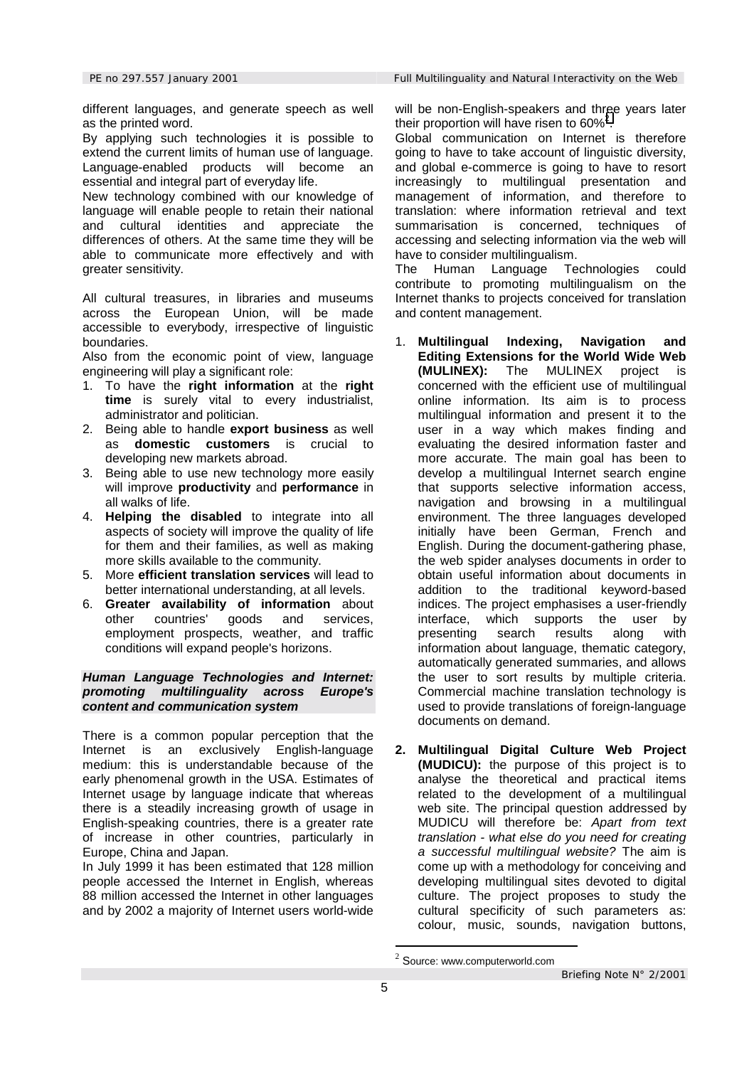different languages, and generate speech as well as the printed word.

By applying such technologies it is possible to extend the current limits of human use of language. Language-enabled products will become an essential and integral part of everyday life.

New technology combined with our knowledge of language will enable people to retain their national and cultural identities and appreciate the differences of others. At the same time they will be able to communicate more effectively and with greater sensitivity.

All cultural treasures, in libraries and museums across the European Union, will be made accessible to everybody, irrespective of linguistic boundaries.

Also from the economic point of view, language engineering will play a significant role:

- 1. To have the **right information** at the **right time** is surely vital to every industrialist, administrator and politician.
- 2. Being able to handle **export business** as well as **domestic customers** is crucial to developing new markets abroad.
- 3. Being able to use new technology more easily will improve **productivity** and **performance** in all walks of life.
- 4. **Helping the disabled** to integrate into all aspects of society will improve the quality of life for them and their families, as well as making more skills available to the community.
- 5. More **efficient translation services** will lead to better international understanding, at all levels.
- 6. **Greater availability of information** about other countries' goods and services, employment prospects, weather, and traffic conditions will expand people's horizons.

### *Human Language Technologies and Internet: promoting multilinguality across Europe's content and communication system*

There is a common popular perception that the Internet is an exclusively English-language medium: this is understandable because of the early phenomenal growth in the USA. Estimates of Internet usage by language indicate that whereas there is a steadily increasing growth of usage in English-speaking countries, there is a greater rate of increase in other countries, particularly in Europe, China and Japan.

In July 1999 it has been estimated that 128 million people accessed the Internet in English, whereas 88 million accessed the Internet in other languages and by 2002 a majority of Internet users world-wide

will be non-English-speakers and three years later their proportion will have risen to  $60\%^2$ .

Global communication on Internet is therefore going to have to take account of linguistic diversity, and global e-commerce is going to have to resort increasingly to multilingual presentation and management of information, and therefore to translation: where information retrieval and text summarisation is concerned, techniques of accessing and selecting information via the web will have to consider multilingualism.

The Human Language Technologies could contribute to promoting multilingualism on the Internet thanks to projects conceived for translation and content management.

- 1. **Multilingual Indexing, Navigation and Editing Extensions for the World Wide Web (MULINEX):** The MULINEX project is concerned with the efficient use of multilingual online information. Its aim is to process multilingual information and present it to the user in a way which makes finding and evaluating the desired information faster and more accurate. The main goal has been to develop a multilingual Internet search engine that supports selective information access, navigation and browsing in a multilingual environment. The three languages developed initially have been German, French and English. During the document-gathering phase, the web spider analyses documents in order to obtain useful information about documents in addition to the traditional keyword-based indices. The project emphasises a user-friendly interface, which supports the user by presenting search results along with information about language, thematic category, automatically generated summaries, and allows the user to sort results by multiple criteria. Commercial machine translation technology is used to provide translations of foreign-language documents on demand.
- **2. Multilingual Digital Culture Web Project (MUDICU):** the purpose of this project is to analyse the theoretical and practical items related to the development of a multilingual web site. The principal question addressed by MUDICU will therefore be: *Apart from text translation - what else do you need for creating a successful multilingual website?* The aim is come up with a methodology for conceiving and developing multilingual sites devoted to digital culture. The project proposes to study the cultural specificity of such parameters as: colour, music, sounds, navigation buttons,

<u>.</u>

 $2$  Source: www.computerworld.com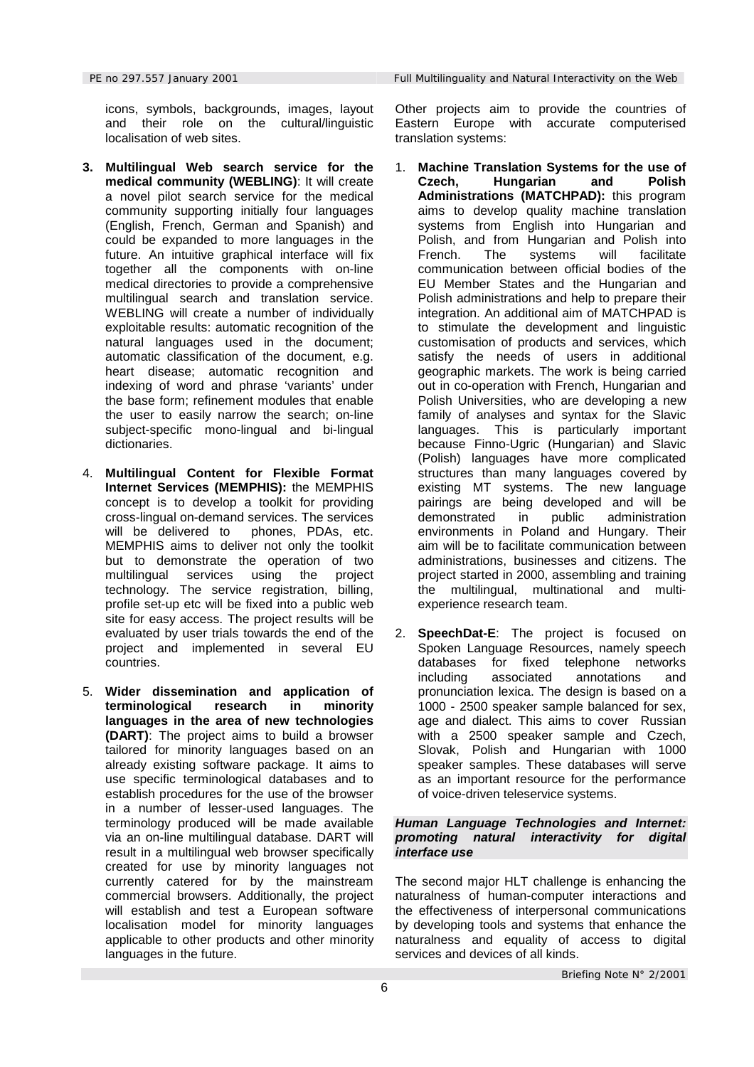icons, symbols, backgrounds, images, layout and their role on the cultural/linguistic localisation of web sites.

- **3. Multilingual Web search service for the medical community (WEBLING)**: It will create a novel pilot search service for the medical community supporting initially four languages (English, French, German and Spanish) and could be expanded to more languages in the future. An intuitive graphical interface will fix together all the components with on-line medical directories to provide a comprehensive multilingual search and translation service. WEBLING will create a number of individually exploitable results: automatic recognition of the natural languages used in the document; automatic classification of the document, e.g. heart disease; automatic recognition and indexing of word and phrase 'variants' under the base form; refinement modules that enable the user to easily narrow the search; on-line subject-specific mono-lingual and bi-lingual dictionaries.
- 4. **Multilingual Content for Flexible Format Internet Services (MEMPHIS):** the MEMPHIS concept is to develop a toolkit for providing cross-lingual on-demand services. The services will be delivered to phones, PDAs, etc. MEMPHIS aims to deliver not only the toolkit but to demonstrate the operation of two multilingual services using the project technology. The service registration, billing, profile set-up etc will be fixed into a public web site for easy access. The project results will be evaluated by user trials towards the end of the project and implemented in several EU countries.
- 5. **Wider dissemination and application of terminological research in minority languages in the area of new technologies (DART)**: The project aims to build a browser tailored for minority languages based on an already existing software package. It aims to use specific terminological databases and to establish procedures for the use of the browser in a number of lesser-used languages. The terminology produced will be made available via an on-line multilingual database. DART will result in a multilingual web browser specifically created for use by minority languages not currently catered for by the mainstream commercial browsers. Additionally, the project will establish and test a European software localisation model for minority languages applicable to other products and other minority languages in the future.

Other projects aim to provide the countries of Eastern Europe with accurate computerised translation systems:

- 1. **Machine Translation Systems for the use of Czech, Hungarian and Polish Administrations (MATCHPAD):** this program aims to develop quality machine translation systems from English into Hungarian and Polish, and from Hungarian and Polish into French. The systems will facilitate communication between official bodies of the EU Member States and the Hungarian and Polish administrations and help to prepare their integration. An additional aim of MATCHPAD is to stimulate the development and linguistic customisation of products and services, which satisfy the needs of users in additional geographic markets. The work is being carried out in co-operation with French, Hungarian and Polish Universities, who are developing a new family of analyses and syntax for the Slavic languages. This is particularly important because Finno-Ugric (Hungarian) and Slavic (Polish) languages have more complicated structures than many languages covered by existing MT systems. The new language pairings are being developed and will be demonstrated in public administration environments in Poland and Hungary. Their aim will be to facilitate communication between administrations, businesses and citizens. The project started in 2000, assembling and training the multilingual, multinational and multiexperience research team.
- 2. **SpeechDat-E**: The project is focused on Spoken Language Resources, namely speech databases for fixed telephone networks including associated annotations and pronunciation lexica. The design is based on a 1000 - 2500 speaker sample balanced for sex, age and dialect. This aims to cover Russian with a 2500 speaker sample and Czech, Slovak, Polish and Hungarian with 1000 speaker samples. These databases will serve as an important resource for the performance of voice-driven teleservice systems.

### *Human Language Technologies and Internet: promoting natural interactivity for digital interface use*

The second major HLT challenge is enhancing the naturalness of human-computer interactions and the effectiveness of interpersonal communications by developing tools and systems that enhance the naturalness and equality of access to digital services and devices of all kinds.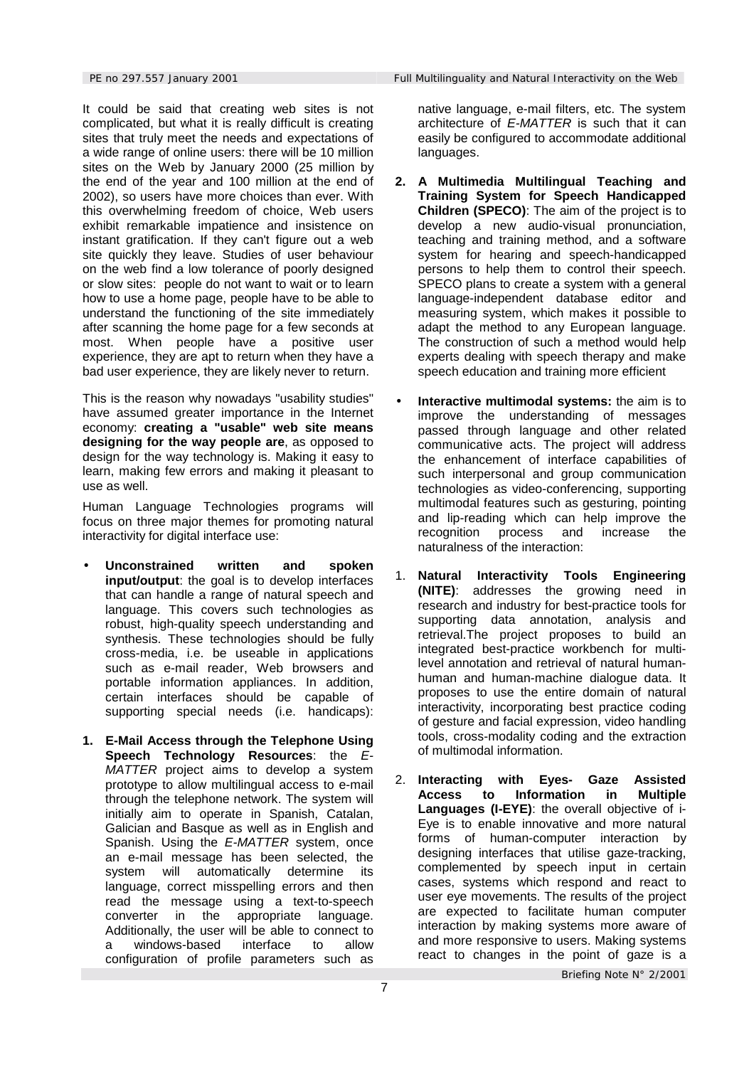It could be said that creating web sites is not complicated, but what it is really difficult is creating sites that truly meet the needs and expectations of a wide range of online users: there will be 10 million sites on the Web by January 2000 (25 million by the end of the year and 100 million at the end of 2002), so users have more choices than ever. With this overwhelming freedom of choice, Web users exhibit remarkable impatience and insistence on instant gratification. If they can't figure out a web site quickly they leave. Studies of user behaviour on the web find a low tolerance of poorly designed or slow sites: people do not want to wait or to learn how to use a home page, people have to be able to understand the functioning of the site immediately after scanning the home page for a few seconds at most. When people have a positive user experience, they are apt to return when they have a bad user experience, they are likely never to return.

This is the reason why nowadays "usability studies" have assumed greater importance in the Internet economy: **creating a "usable" web site means designing for the way people are**, as opposed to design for the way technology is. Making it easy to learn, making few errors and making it pleasant to use as well.

Human Language Technologies programs will focus on three major themes for promoting natural interactivity for digital interface use:

- **Unconstrained written and spoken input/output**: the goal is to develop interfaces that can handle a range of natural speech and language. This covers such technologies as robust, high-quality speech understanding and synthesis. These technologies should be fully cross-media, i.e. be useable in applications such as e-mail reader, Web browsers and portable information appliances. In addition, certain interfaces should be capable of supporting special needs (i.e. handicaps):
- **1. E-Mail Access through the Telephone Using Speech Technology Resources**: the *E-MATTER* project aims to develop a system prototype to allow multilingual access to e-mail through the telephone network. The system will initially aim to operate in Spanish, Catalan, Galician and Basque as well as in English and Spanish. Using the *E-MATTER* system, once an e-mail message has been selected, the system will automatically determine its language, correct misspelling errors and then read the message using a text-to-speech converter in the appropriate language. Additionally, the user will be able to connect to a windows-based interface to allow configuration of profile parameters such as

native language, e-mail filters, etc. The system architecture of *E-MATTER* is such that it can easily be configured to accommodate additional languages.

- **2. A Multimedia Multilingual Teaching and Training System for Speech Handicapped Children (SPECO)**: The aim of the project is to develop a new audio-visual pronunciation, teaching and training method, and a software system for hearing and speech-handicapped persons to help them to control their speech. SPECO plans to create a system with a general language-independent database editor and measuring system, which makes it possible to adapt the method to any European language. The construction of such a method would help experts dealing with speech therapy and make speech education and training more efficient
- **Interactive multimodal systems:** the aim is to improve the understanding of messages passed through language and other related communicative acts. The project will address the enhancement of interface capabilities of such interpersonal and group communication technologies as video-conferencing, supporting multimodal features such as gesturing, pointing and lip-reading which can help improve the recognition process and increase the naturalness of the interaction:
- 1. **Natural Interactivity Tools Engineering (NITE)**: addresses the growing need in research and industry for best-practice tools for supporting data annotation, analysis and retrieval.The project proposes to build an integrated best-practice workbench for multilevel annotation and retrieval of natural humanhuman and human-machine dialogue data. It proposes to use the entire domain of natural interactivity, incorporating best practice coding of gesture and facial expression, video handling tools, cross-modality coding and the extraction of multimodal information.
- 2. **Interacting with Eyes- Gaze Assisted Access to Information in Multiple Languages (I-EYE)**: the overall objective of i-Eye is to enable innovative and more natural forms of human-computer interaction by designing interfaces that utilise gaze-tracking, complemented by speech input in certain cases, systems which respond and react to user eye movements. The results of the project are expected to facilitate human computer interaction by making systems more aware of and more responsive to users. Making systems react to changes in the point of gaze is a